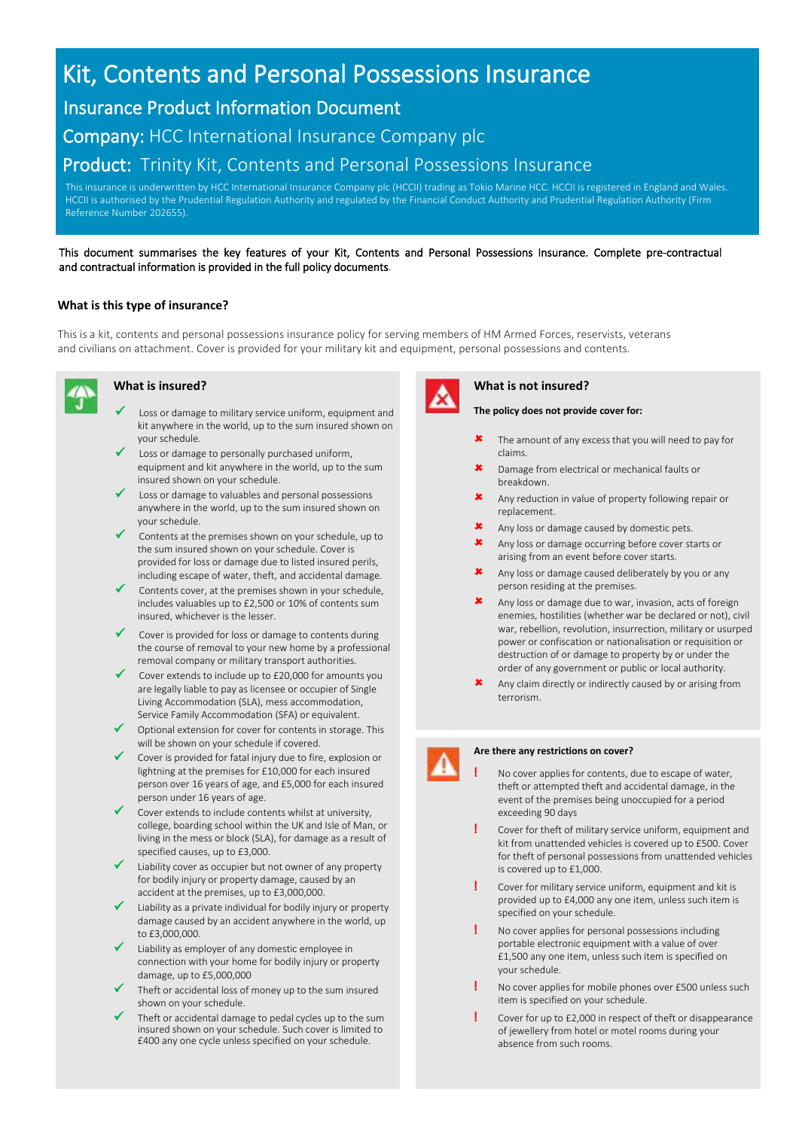# Kit, Contents and Personal Possessions Insurance

## Insurance Product Information Document

Company: HCC International Insurance Company plc

### Product: Trinity Kit, Contents and Personal Possessions Insurance

This insurance is underwritten by HCC International Insurance Company plc (HCCII) trading as Tokio Marine HCC. HCCII is registered in England and Wales. HCCII is authorised by the Prudential Regulation Authority and regulated by the Financial Conduct Authority and Prudential Regulation Authority (Firm Reference Number 202655).

#### This document summarises the key features of your Kit, Contents and Personal Possessions Insurance. Complete pre-contractual and contractual information is provided in the full policy documents.

#### **What is this type of insurance?**

This is a kit, contents and personal possessions insurance policy for serving members of HM Armed Forces, reservists, veterans and civilians on attachment. Cover is provided for your military kit and equipment, personal possessions and contents.



- Loss or damage to military service uniform, equipment and kit anywhere in the world, up to the sum insured shown on your schedule.
- Loss or damage to personally purchased uniform, equipment and kit anywhere in the world, up to the sum insured shown on your schedule.
- ✓ Loss or damage to valuables and personal possessions anywhere in the world, up to the sum insured shown on your schedule.
- Contents at the premises shown on your schedule, up to the sum insured shown on your schedule. Cover is provided for loss or damage due to listed insured perils, including escape of water, theft, and accidental damage.
- ✓ Contents cover, at the premises shown in your schedule, includes valuables up to £2,500 or 10% of contents sum insured, whichever is the lesser.
- Cover is provided for loss or damage to contents during the course of removal to your new home by a professional removal company or military transport authorities.
- ✓ Cover extends to include up to £20,000 for amounts you are legally liable to pay as licensee or occupier of Single Living Accommodation (SLA), mess accommodation, Service Family Accommodation (SFA) or equivalent.
- Optional extension for cover for contents in storage. This will be shown on your schedule if covered.
- Cover is provided for fatal injury due to fire, explosion or lightning at the premises for £10,000 for each insured person over 16 years of age, and £5,000 for each insured person under 16 years of age.
- Cover extends to include contents whilst at university, college, boarding school within the UK and Isle of Man, or living in the mess or block (SLA), for damage as a result of specified causes, up to £3,000.
- Liability cover as occupier but not owner of any property for bodily injury or property damage, caused by an accident at the premises, up to £3,000,000.
- ✓ Liability as a private individual for bodily injury or property damage caused by an accident anywhere in the world, up to £3,000,000.
- Liability as employer of any domestic employee in connection with your home for bodily injury or property damage, up to £5,000,000
- Theft or accidental loss of money up to the sum insured shown on your schedule.
- Theft or accidental damage to pedal cycles up to the sum insured shown on your schedule. Such cover is limited to £400 any one cycle unless specified on your schedule.



#### **What is insured? What is not insured?**

**The policy does not provide cover for:**

- **\*** The amount of any excess that you will need to pay for claims.
- Damage from electrical or mechanical faults or breakdown.
- Any reduction in value of property following repair or replacement.
- Any loss or damage caused by domestic pets.
- Any loss or damage occurring before cover starts or arising from an event before cover starts.
- Any loss or damage caused deliberately by you or any person residing at the premises.
- Any loss or damage due to war, invasion, acts of foreign enemies, hostilities (whether war be declared or not), civil war, rebellion, revolution, insurrection, military or usurped power or confiscation or nationalisation or requisition or destruction of or damage to property by or under the order of any government or public or local authority.
- Any claim directly or indirectly caused by or arising from terrorism.



#### **Are there any restrictions on cover?**

#### **!** No cover applies for contents, due to escape of water, theft or attempted theft and accidental damage, in the event of the premises being unoccupied for a period exceeding 90 days

- **!** Cover for theft of military service uniform, equipment and kit from unattended vehicles is covered up to £500. Cover for theft of personal possessions from unattended vehicles is covered up to £1,000.
- **!** Cover for military service uniform, equipment and kit is provided up to £4,000 any one item, unless such item is specified on your schedule.
- **!** No cover applies for personal possessions including portable electronic equipment with a value of over £1,500 any one item, unless such item is specified on your schedule.
- **!** No cover applies for mobile phones over £500 unless such item is specified on your schedule.
- **!** Cover for up to £2,000 in respect of theft or disappearance of jewellery from hotel or motel rooms during your absence from such rooms.